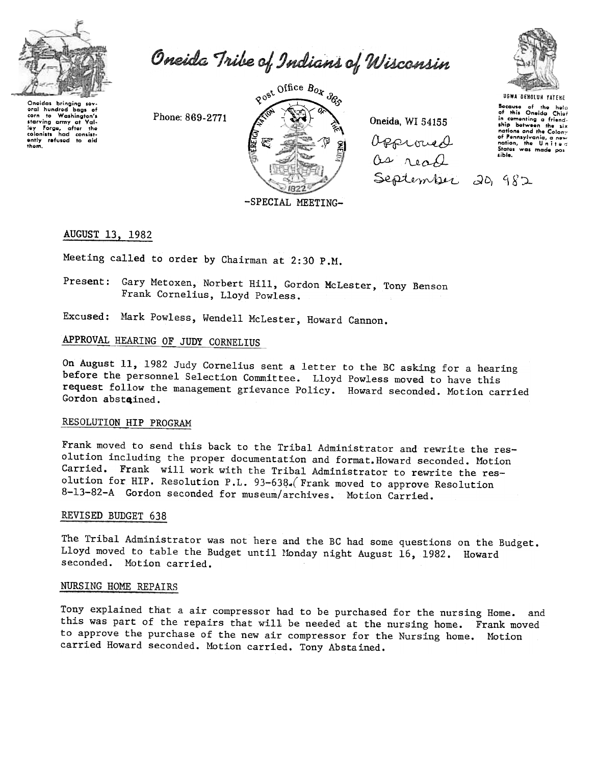

Oneida Tribe of Indians of Wisconsin

Onoidas bringing sev oral hundred bags of corn to www.www.corn<br>starving army at Valley Forge, after the ley Forge, after the<br>colonists had consist-<br>ently refused to aid

Phone: 869-2771



Oneida, WI 54155 Opproved as read September 20, 982



**UGWA DENOLUN YATENE** Because of the help<br>of this Oneida Chief<br>in cementing a friend-<br>ship between the six nations and the Colony of Pennsylvania, a new sible

## AUGUST 13, 1982

Meeting called to order by Chairman at 2:30 P.M.

Present: Gary Metoxen, Norbert Hill, Gordon McLester, Tony Benson Frank Cornelius, Lloyd Powless.

Excused: Mark Powless, Wendell McLester, Howard Cannon.

# APPROVAL HEARING OF JUDY CORNELIUS

On August 11, 1982 Judy Cornelius sent a letter to the BC asking for a hearing before the personnel Selection Committee. Lloyd Powless moved to have this request follow the management grievance Policy. Howard seconded. Motion carried Gordon abstained.

## RESOLUTION HIP PROGRAM

Frank moved to send this back to the Tribal Administrator and rewrite the resolution including the proper documentation and format. Howard seconded. Motion Carried. Frank will work with the Tribal Administrator to rewrite the resolution for HIP. Resolution P.L. 93-638. Frank moved to approve Resolution 8-13-82-A Gordon seconded for museum/archives. Motion Carried.

### REVISED BUDGET 638

The Tribal Administrator was not here and the BC had some questions on the Budget. Lloyd moved to table the Budget until Monday night August 16, 1982. Howard seconded. Motion carried.

#### NURSING HOME REPAIRS

Tony explained that a air compressor had to be purchased for the nursing Home. and this was part of the repairs that will be needed at the nursing home. Frank moved to approve the purchase of the new air compressor for the Nursing home. Motion carried Howard seconded. Motion carried. Tony Abstained.